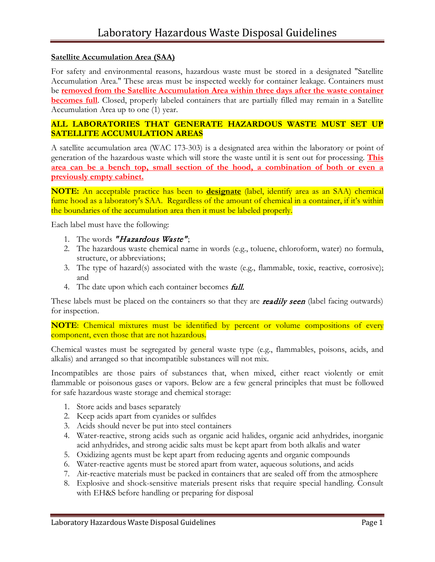## **Satellite Accumulation Area (SAA)**

For safety and environmental reasons, hazardous waste must be stored in a designated "Satellite Accumulation Area." These areas must be inspected weekly for container leakage. Containers must be **removed from the Satellite Accumulation Area within three days after the waste container becomes full**. Closed, properly labeled containers that are partially filled may remain in a Satellite Accumulation Area up to one (1) year.

### **ALL LABORATORIES THAT GENERATE HAZARDOUS WASTE MUST SET UP SATELLITE ACCUMULATION AREAS**

A satellite accumulation area (WAC 173-303) is a designated area within the laboratory or point of generation of the hazardous waste which will store the waste until it is sent out for processing. **This area can be a bench top, small section of the hood, a combination of both or even a previously empty cabinet.**

**NOTE:** An acceptable practice has been to **designate** (label, identify area as an SAA) chemical fume hood as a laboratory's SAA. Regardless of the amount of chemical in a container, if it's within the boundaries of the accumulation area then it must be labeled properly.

Each label must have the following:

- 1. The words "Hazardous Waste";
- 2. The hazardous waste chemical name in words (e.g., toluene, chloroform, water) no formula, structure, or abbreviations;
- 3. The type of hazard(s) associated with the waste (e.g., flammable, toxic, reactive, corrosive); and
- 4. The date upon which each container becomes *full*.

These labels must be placed on the containers so that they are **readily seen** (label facing outwards) for inspection.

**NOTE**: Chemical mixtures must be identified by percent or volume compositions of every component, even those that are not hazardous.

Chemical wastes must be segregated by general waste type (e.g., flammables, poisons, acids, and alkalis) and arranged so that incompatible substances will not mix.

Incompatibles are those pairs of substances that, when mixed, either react violently or emit flammable or poisonous gases or vapors. Below are a few general principles that must be followed for safe hazardous waste storage and chemical storage:

- 1. Store acids and bases separately
- 2. Keep acids apart from cyanides or sulfides
- 3. Acids should never be put into steel containers
- 4. Water-reactive, strong acids such as organic acid halides, organic acid anhydrides, inorganic acid anhydrides, and strong acidic salts must be kept apart from both alkalis and water
- 5. Oxidizing agents must be kept apart from reducing agents and organic compounds
- 6. Water-reactive agents must be stored apart from water, aqueous solutions, and acids
- 7. Air-reactive materials must be packed in containers that are sealed off from the atmosphere
- 8. Explosive and shock-sensitive materials present risks that require special handling. Consult with EH&S before handling or preparing for disposal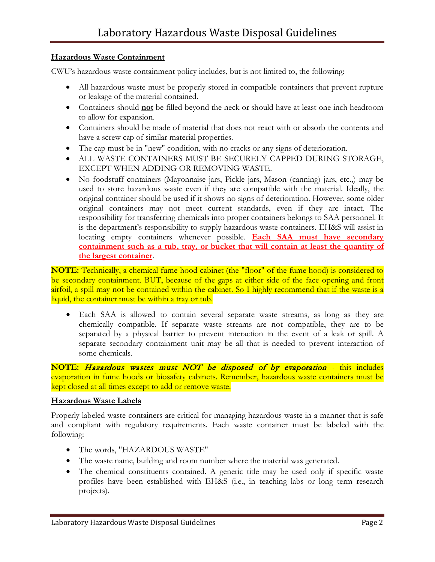## **Hazardous Waste Containment**

CWU's hazardous waste containment policy includes, but is not limited to, the following:

- All hazardous waste must be properly stored in compatible containers that prevent rupture or leakage of the material contained.
- Containers should **not** be filled beyond the neck or should have at least one inch headroom to allow for expansion.
- Containers should be made of material that does not react with or absorb the contents and have a screw cap of similar material properties.
- The cap must be in "new" condition, with no cracks or any signs of deterioration.
- ALL WASTE CONTAINERS MUST BE SECURELY CAPPED DURING STORAGE, EXCEPT WHEN ADDING OR REMOVING WASTE.
- No foodstuff containers (Mayonnaise jars, Pickle jars, Mason (canning) jars, etc.,) may be used to store hazardous waste even if they are compatible with the material. Ideally, the original container should be used if it shows no signs of deterioration. However, some older original containers may not meet current standards, even if they are intact. The responsibility for transferring chemicals into proper containers belongs to SAA personnel. It is the department's responsibility to supply hazardous waste containers. EH&S will assist in locating empty containers whenever possible. **Each SAA must have secondary containment such as a tub, tray, or bucket that will contain at least the quantity of the largest container**.

**NOTE:** Technically, a chemical fume hood cabinet (the "floor" of the fume hood) is considered to be secondary containment. BUT, because of the gaps at either side of the face opening and front airfoil, a spill may not be contained within the cabinet. So I highly recommend that if the waste is a liquid, the container must be within a tray or tub.

• Each SAA is allowed to contain several separate waste streams, as long as they are chemically compatible. If separate waste streams are not compatible, they are to be separated by a physical barrier to prevent interaction in the event of a leak or spill. A separate secondary containment unit may be all that is needed to prevent interaction of some chemicals.

**NOTE:** Hazardous wastes must NOT be disposed of by evaporation - this includes evaporation in fume hoods or biosafety cabinets. Remember, hazardous waste containers must be kept closed at all times except to add or remove waste.

# **Hazardous Waste Labels**

Properly labeled waste containers are critical for managing hazardous waste in a manner that is safe and compliant with regulatory requirements. Each waste container must be labeled with the following:

- The words, "HAZARDOUS WASTE"
- The waste name, building and room number where the material was generated.
- The chemical constituents contained. A generic title may be used only if specific waste profiles have been established with EH&S (i.e., in teaching labs or long term research projects).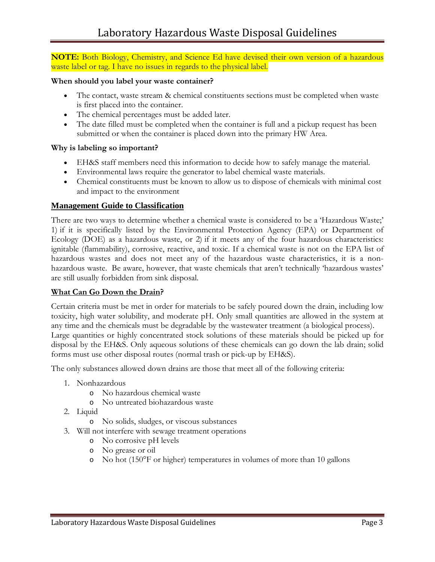**NOTE:** Both Biology, Chemistry, and Science Ed have devised their own version of a hazardous waste label or tag. I have no issues in regards to the physical label.

#### **When should you label your waste container?**

- The contact, waste stream & chemical constituents sections must be completed when waste is first placed into the container.
- The chemical percentages must be added later.
- The date filled must be completed when the container is full and a pickup request has been submitted or when the container is placed down into the primary HW Area.

### **Why is labeling so important?**

- EH&S staff members need this information to decide how to safely manage the material.
- Environmental laws require the generator to label chemical waste materials.
- Chemical constituents must be known to allow us to dispose of chemicals with minimal cost and impact to the environment

### **Management Guide to Classification**

There are two ways to determine whether a chemical waste is considered to be a 'Hazardous Waste;' 1) if it is specifically listed by the Environmental Protection Agency (EPA) or Department of Ecology (DOE) as a hazardous waste, or 2) if it meets any of the four hazardous characteristics: ignitable (flammability), corrosive, reactive, and toxic. If a chemical waste is not on the EPA list of hazardous wastes and does not meet any of the hazardous waste characteristics, it is a nonhazardous waste. Be aware, however, that waste chemicals that aren't technically 'hazardous wastes' are still usually forbidden from sink disposal.

### **What Can Go Down the Drain?**

Certain criteria must be met in order for materials to be safely poured down the drain, including low toxicity, high water solubility, and moderate pH. Only small quantities are allowed in the system at any time and the chemicals must be degradable by the wastewater treatment (a biological process). Large quantities or highly concentrated stock solutions of these materials should be picked up for disposal by the EH&S. Only aqueous solutions of these chemicals can go down the lab drain; solid forms must use other disposal routes (normal trash or pick-up by EH&S).

The only substances allowed down drains are those that meet all of the following criteria:

- 1. Nonhazardous
	- o No hazardous chemical waste
	- o No untreated biohazardous waste
- 2. Liquid
	- o No solids, sludges, or viscous substances
- 3. Will not interfere with sewage treatment operations
	- o No corrosive pH levels
	- o No grease or oil
	- o No hot (150°F or higher) temperatures in volumes of more than 10 gallons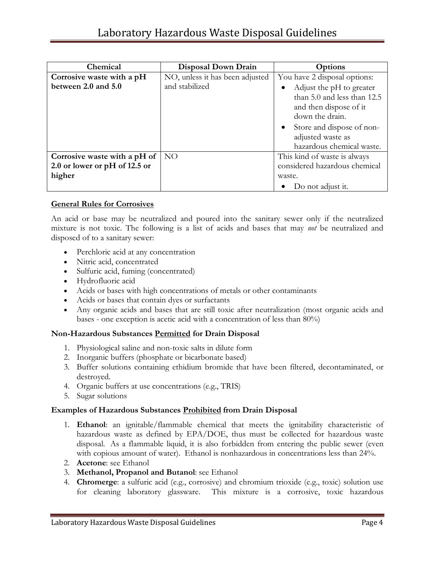| Chemical                      | Disposal Down Drain             | Options                                |
|-------------------------------|---------------------------------|----------------------------------------|
| Corrosive waste with a pH     | NO, unless it has been adjusted | You have 2 disposal options:           |
| between 2.0 and 5.0           | and stabilized                  | Adjust the pH to greater               |
|                               |                                 | than 5.0 and less than 12.5            |
|                               |                                 | and then dispose of it                 |
|                               |                                 | down the drain.                        |
|                               |                                 | Store and dispose of non-<br>$\bullet$ |
|                               |                                 | adjusted waste as                      |
|                               |                                 | hazardous chemical waste.              |
| Corrosive waste with a pH of  | NO.                             | This kind of waste is always           |
| 2.0 or lower or pH of 12.5 or |                                 | considered hazardous chemical          |
| higher                        |                                 | waste.                                 |
|                               |                                 | Do not adjust it.                      |

## **General Rules for Corrosives**

An acid or base may be neutralized and poured into the sanitary sewer only if the neutralized mixture is not toxic. The following is a list of acids and bases that may *not* be neutralized and disposed of to a sanitary sewer:

- Perchloric acid at any concentration
- Nitric acid, concentrated
- Sulfuric acid, fuming (concentrated)
- Hydrofluoric acid
- Acids or bases with high concentrations of metals or other contaminants
- Acids or bases that contain dyes or surfactants
- Any organic acids and bases that are still toxic after neutralization (most organic acids and bases - one exception is acetic acid with a concentration of less than 80%)

### **Non-Hazardous Substances Permitted for Drain Disposal**

- 1. Physiological saline and non-toxic salts in dilute form
- 2. Inorganic buffers (phosphate or bicarbonate based)
- 3. Buffer solutions containing ethidium bromide that have been filtered, decontaminated, or destroyed.
- 4. Organic buffers at use concentrations (e.g., TRIS)
- 5. Sugar solutions

### **Examples of Hazardous Substances Prohibited from Drain Disposal**

- 1. **Ethanol**: an ignitable/flammable chemical that meets the ignitability characteristic of hazardous waste as defined by EPA/DOE, thus must be collected for hazardous waste disposal. As a flammable liquid, it is also forbidden from entering the public sewer (even with copious amount of water). Ethanol is nonhazardous in concentrations less than 24%.
- 2. **Acetone**: see Ethanol
- 3. **Methanol, Propanol and Butanol**: see Ethanol
- 4. **Chromerge**: a sulfuric acid (e.g., corrosive) and chromium trioxide (e.g., toxic) solution use for cleaning laboratory glassware. This mixture is a corrosive, toxic hazardous